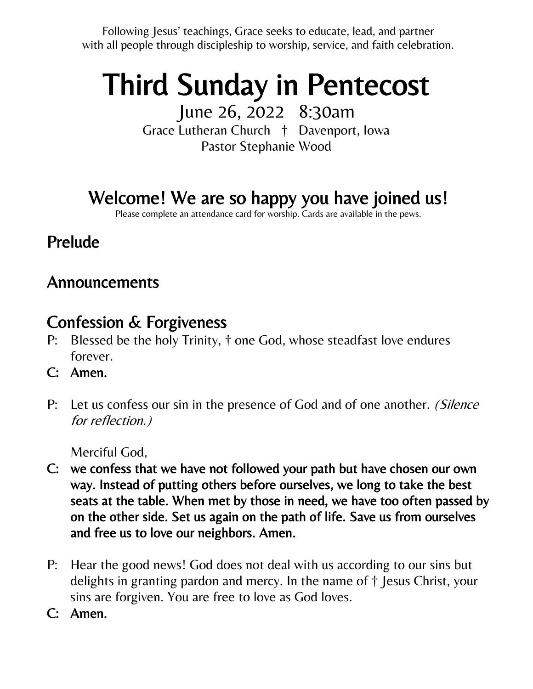Following Jesus' teachings, Grace seeks to educate, lead, and partner with all people through discipleship to worship, service, and faith celebration.

# Third Sunday in Pentecost

June 26, 2022 8:30am Grace Lutheran Church † Davenport, Iowa Pastor Stephanie Wood

# Welcome! We are so happy you have joined us!

Please complete an attendance card for worship. Cards are available in the pews.

# Prelude

## Announcements

# Confession & Forgiveness

- P: Blessed be the holy Trinity, † one God, whose steadfast love endures forever.
- C: Amen.
- P: Let us confess our sin in the presence of God and of one another. (Silence for reflection.)

Merciful God,

- C: we confess that we have not followed your path but have chosen our own way. Instead of putting others before ourselves, we long to take the best seats at the table. When met by those in need, we have too often passed by on the other side. Set us again on the path of life. Save us from ourselves and free us to love our neighbors. Amen.
- P: Hear the good news! God does not deal with us according to our sins but delights in granting pardon and mercy. In the name of † Jesus Christ, your sins are forgiven. You are free to love as God loves.
- C: Amen.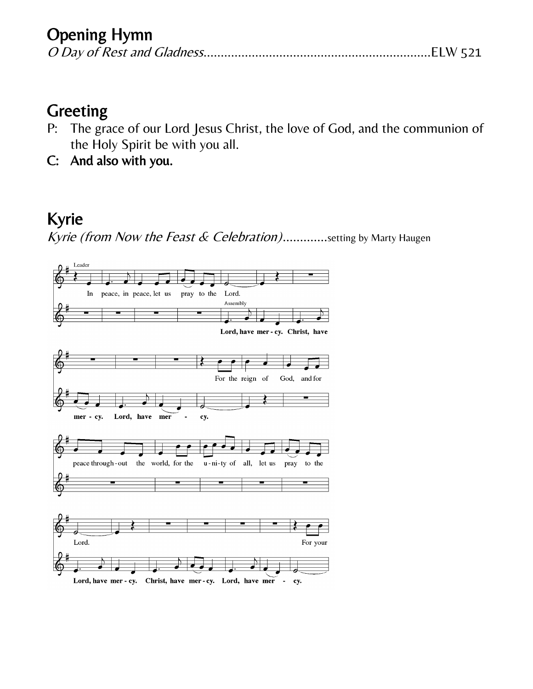# Opening Hymn

|--|--|--|

### Greeting

- P: The grace of our Lord Jesus Christ, the love of God, and the communion of the Holy Spirit be with you all.
- C: And also with you.

# Kyrie

Kyrie (from Now the Feast & Celebration).............setting by Marty Haugen

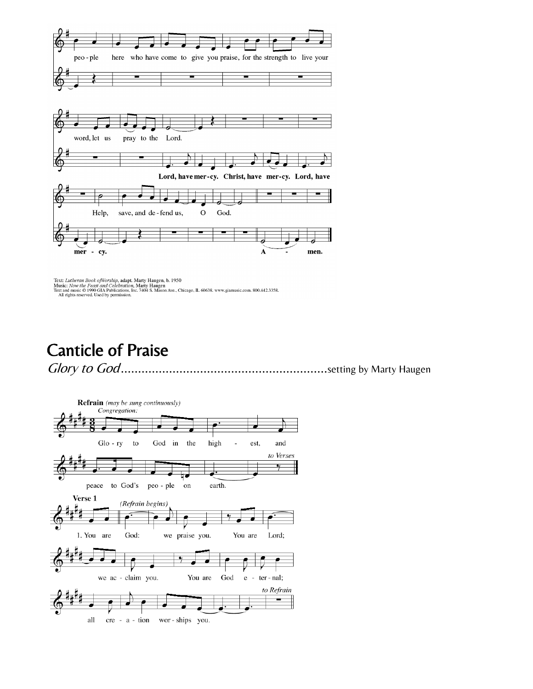

Text: Lutheran Book ofWorship, adapt. Marty Haugen, b. 1950<br>Music: Now the Feast and Celebration, Marty Haugen<br>Text and music © 1990 GIA Publications, Inc. 7404 S. Mason Ave., Chicago, IL 60638. www.giamusic.com. 800.442.3

Canticle of Praise

Glory to God............................................................setting by Marty Haugen

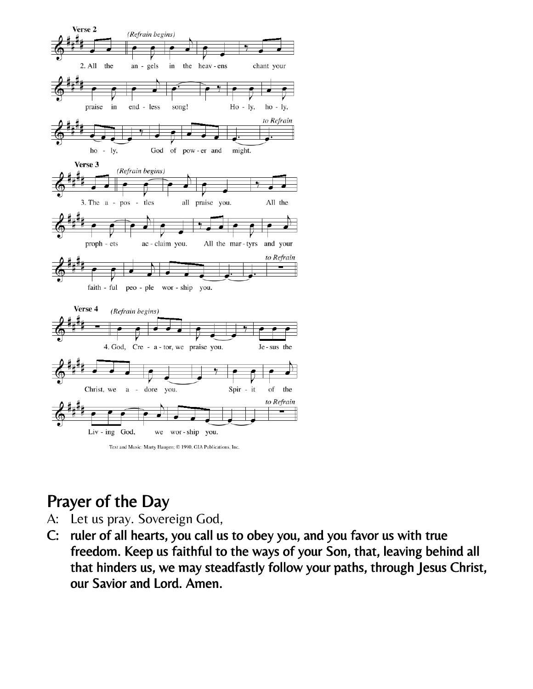

# Prayer of the Day

- A: Let us pray. Sovereign God,
- C: ruler of all hearts, you call us to obey you, and you favor us with true freedom. Keep us faithful to the ways of your Son, that, leaving behind all that hinders us, we may steadfastly follow your paths, through Jesus Christ, our Savior and Lord. Amen.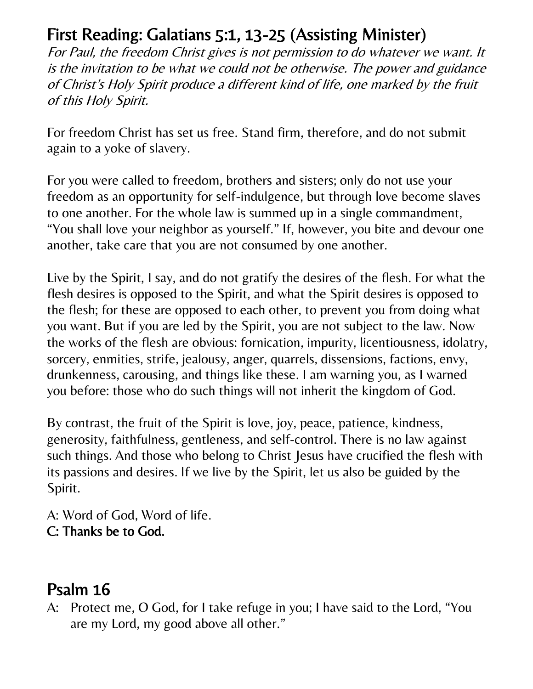# First Reading: Galatians 5:1, 13-25 (Assisting Minister)

For Paul, the freedom Christ gives is not permission to do whatever we want. It is the invitation to be what we could not be otherwise. The power and guidance of Christ's Holy Spirit produce a different kind of life, one marked by the fruit of this Holy Spirit.

For freedom Christ has set us free. Stand firm, therefore, and do not submit again to a yoke of slavery.

For you were called to freedom, brothers and sisters; only do not use your freedom as an opportunity for self-indulgence, but through love become slaves to one another. For the whole law is summed up in a single commandment, "You shall love your neighbor as yourself." If, however, you bite and devour one another, take care that you are not consumed by one another.

Live by the Spirit, I say, and do not gratify the desires of the flesh. For what the flesh desires is opposed to the Spirit, and what the Spirit desires is opposed to the flesh; for these are opposed to each other, to prevent you from doing what you want. But if you are led by the Spirit, you are not subject to the law. Now the works of the flesh are obvious: fornication, impurity, licentiousness, idolatry, sorcery, enmities, strife, jealousy, anger, quarrels, dissensions, factions, envy, drunkenness, carousing, and things like these. I am warning you, as I warned you before: those who do such things will not inherit the kingdom of God.

By contrast, the fruit of the Spirit is love, joy, peace, patience, kindness, generosity, faithfulness, gentleness, and self-control. There is no law against such things. And those who belong to Christ Jesus have crucified the flesh with its passions and desires. If we live by the Spirit, let us also be guided by the Spirit.

A: Word of God, Word of life. C: Thanks be to God.

# Psalm 16

A: Protect me, O God, for I take refuge in you; I have said to the Lord, "You are my Lord, my good above all other."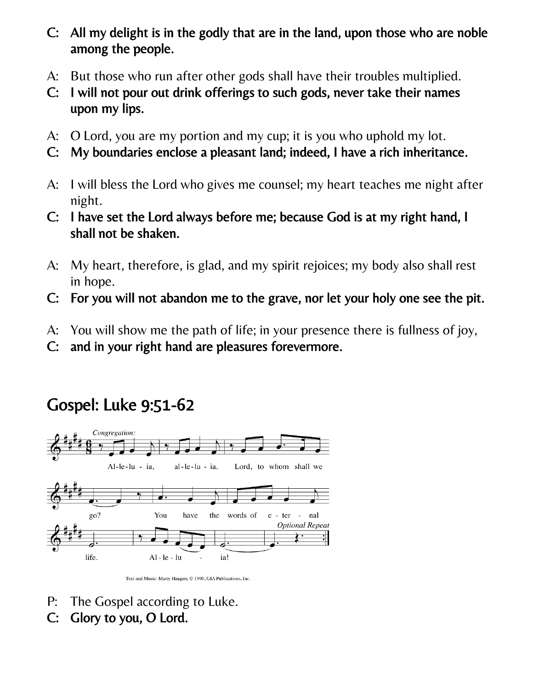- C: All my delight is in the godly that are in the land, upon those who are noble among the people.
- A: But those who run after other gods shall have their troubles multiplied.
- C: I will not pour out drink offerings to such gods, never take their names upon my lips.
- A: O Lord, you are my portion and my cup; it is you who uphold my lot.
- C: My boundaries enclose a pleasant land; indeed, I have a rich inheritance.
- A: I will bless the Lord who gives me counsel; my heart teaches me night after night.
- C: I have set the Lord always before me; because God is at my right hand, I shall not be shaken.
- A: My heart, therefore, is glad, and my spirit rejoices; my body also shall rest in hope.
- C: For you will not abandon me to the grave, nor let your holy one see the pit.
- A: You will show me the path of life; in your presence there is fullness of joy,
- C: and in your right hand are pleasures forevermore.

# Gospel: Luke 9:51-62



Text and Music: Marty Haugen; C 1990, GIA Publications, Inc.

- P: The Gospel according to Luke.
- C: Glory to you, O Lord.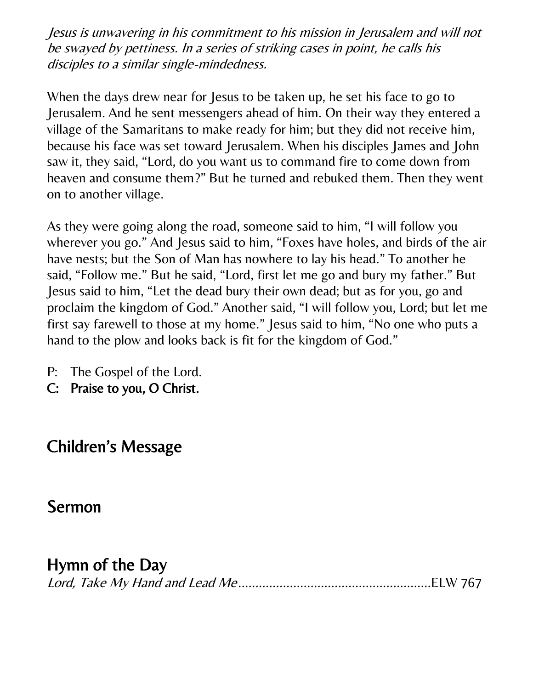Jesus is unwavering in his commitment to his mission in Jerusalem and will not be swayed by pettiness. In a series of striking cases in point, he calls his disciples to a similar single-mindedness.

When the days drew near for Jesus to be taken up, he set his face to go to Jerusalem. And he sent messengers ahead of him. On their way they entered a village of the Samaritans to make ready for him; but they did not receive him, because his face was set toward Jerusalem. When his disciples James and John saw it, they said, "Lord, do you want us to command fire to come down from heaven and consume them?" But he turned and rebuked them. Then they went on to another village.

As they were going along the road, someone said to him, "I will follow you wherever you go." And Jesus said to him, "Foxes have holes, and birds of the air have nests; but the Son of Man has nowhere to lay his head." To another he said, "Follow me." But he said, "Lord, first let me go and bury my father." But Jesus said to him, "Let the dead bury their own dead; but as for you, go and proclaim the kingdom of God." Another said, "I will follow you, Lord; but let me first say farewell to those at my home." Jesus said to him, "No one who puts a hand to the plow and looks back is fit for the kingdom of God."

- P: The Gospel of the Lord.
- C: Praise to you, O Christ.

# Children's Message

### Sermon

### Hymn of the Day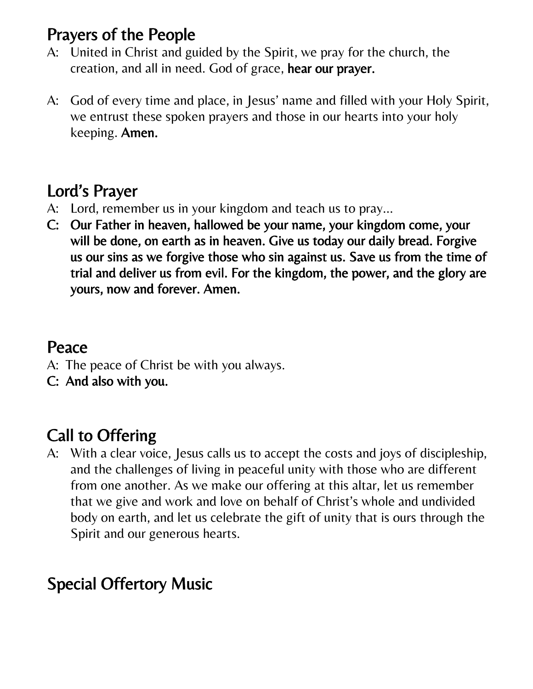# Prayers of the People

- A: United in Christ and guided by the Spirit, we pray for the church, the creation, and all in need. God of grace, hear our prayer.
- A: God of every time and place, in Jesus' name and filled with your Holy Spirit, we entrust these spoken prayers and those in our hearts into your holy keeping. Amen.

# Lord's Prayer

- A: Lord, remember us in your kingdom and teach us to pray…
- C: Our Father in heaven, hallowed be your name, your kingdom come, your will be done, on earth as in heaven. Give us today our daily bread. Forgive us our sins as we forgive those who sin against us. Save us from the time of trial and deliver us from evil. For the kingdom, the power, and the glory are yours, now and forever. Amen.

## Peace

- A: The peace of Christ be with you always.
- C: And also with you.

# Call to Offering

A: With a clear voice, Jesus calls us to accept the costs and joys of discipleship, and the challenges of living in peaceful unity with those who are different from one another. As we make our offering at this altar, let us remember that we give and work and love on behalf of Christ's whole and undivided body on earth, and let us celebrate the gift of unity that is ours through the Spirit and our generous hearts.

# Special Offertory Music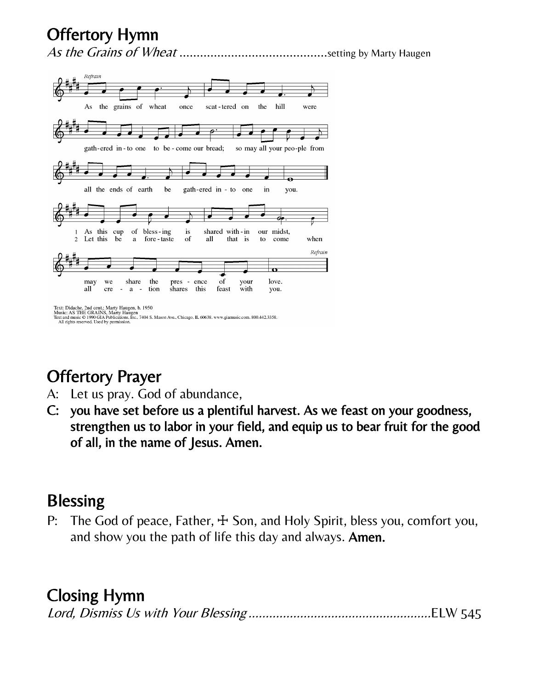# Offertory Hymn

As the Grains of Wheat ...........................................setting by Marty Haugen



# Offertory Prayer

- A: Let us pray. God of abundance,
- C: you have set before us a plentiful harvest. As we feast on your goodness, strengthen us to labor in your field, and equip us to bear fruit for the good of all, in the name of Jesus. Amen.

### **Blessing**

P: The God of peace, Father,  $\pm$  Son, and Holy Spirit, bless you, comfort you, and show you the path of life this day and always. Amen.

# Closing Hymn

|--|--|--|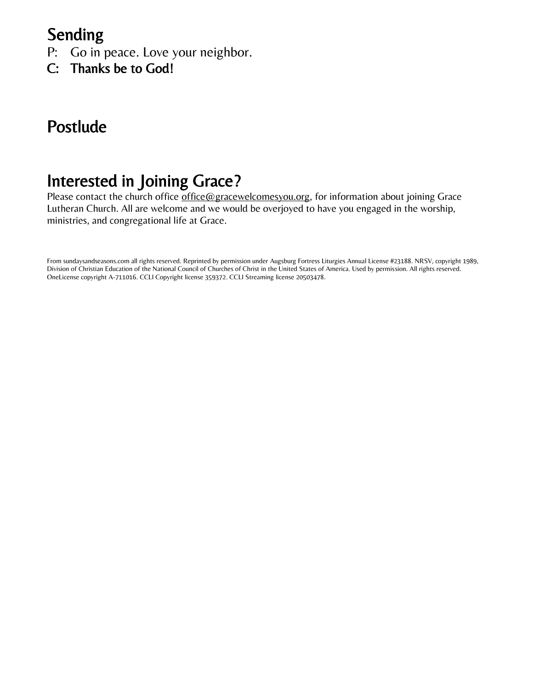## Sending

- P: Go in peace. Love your neighbor.
- C: Thanks be to God!

# Postlude

# Interested in Joining Grace?

Please contact the church office [office@gracewelcomesyou.org,](mailto:office@gracewelcomesyou.org) for information about joining Grace Lutheran Church. All are welcome and we would be overjoyed to have you engaged in the worship, ministries, and congregational life at Grace.

From sundaysandseasons.com all rights reserved. Reprinted by permission under Augsburg Fortress Liturgies Annual License #23188. NRSV, copyright 1989, Division of Christian Education of the National Council of Churches of Christ in the United States of America. Used by permission. All rights reserved. OneLicense copyright A-711016. CCLI Copyright license 359372. CCLI Streaming license 20503478.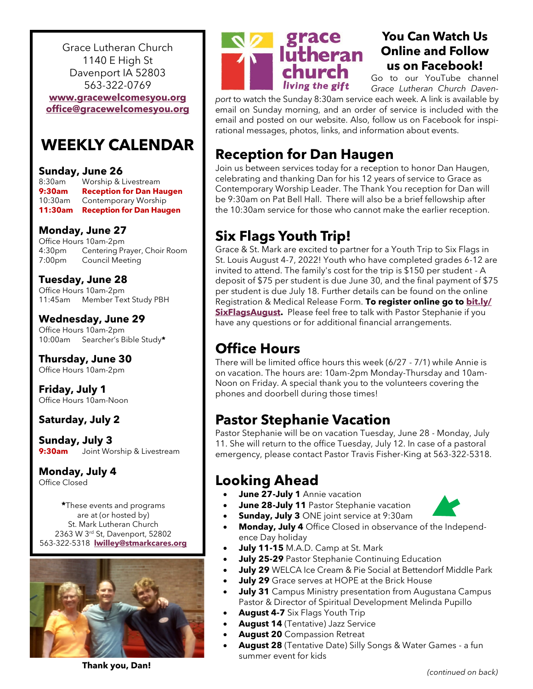Grace Lutheran Church 1140 E High St Davenport IA 52803 563-322-0769

**[www.gracewelcomesyou.org](http://www.gracewelcomesyou.org) [office@gracewelcomesyou.org](mailto:office@gracewelcomesyou.org)**

### **WEEKLY CALENDAR**

#### **Sunday, June 26**

8:30am Worship & Livestream **9:30am Reception for Dan Haugen** 10:30am Contemporary Worship **11:30am Reception for Dan Haugen**

#### **Monday, June 27**

Office Hours 10am-2pm 4:30pm Centering Prayer, Choir Room 7:00pm Council Meeting

#### **Tuesday, June 28**

Office Hours 10am-2pm 11:45am Member Text Study PBH

#### **Wednesday, June 29**

Office Hours 10am-2pm 10:00am Searcher's Bible Study**\***

#### **Thursday, June 30**

Office Hours 10am-2pm

**Friday, July 1** Office Hours 10am-Noon

#### **Saturday, July 2**

**Sunday, July 3 9:30am** Joint Worship & Livestream

#### **Monday, July 4**

Office Closed

**\***These events and programs are at (or hosted by) St. Mark Lutheran Church 2363 W 3rd St, Davenport, 52802 563-322-5318 **[lwilley@stmarkcares.org](mailto:lwilley@stmarkcares.org)**





### **You Can Watch Us Online and Follow us on Facebook!**

Go to our YouTube channel *Grace Lutheran Church Daven-*

*port* to watch the Sunday 8:30am service each week. A link is available by email on Sunday morning, and an order of service is included with the email and posted on our website. Also, follow us on Facebook for inspirational messages, photos, links, and information about events.

### **Reception for Dan Haugen**

Join us between services today for a reception to honor Dan Haugen, celebrating and thanking Dan for his 12 years of service to Grace as Contemporary Worship Leader. The Thank You reception for Dan will be 9:30am on Pat Bell Hall. There will also be a brief fellowship after the 10:30am service for those who cannot make the earlier reception.

### **Six Flags Youth Trip!**

Grace & St. Mark are excited to partner for a Youth Trip to Six Flags in St. Louis August 4-7, 2022! Youth who have completed grades 6-12 are invited to attend. The family's cost for the trip is \$150 per student - A deposit of \$75 per student is due June 30, and the final payment of \$75 per student is due July 18. Further details can be found on the online Registration & Medical Release Form. **To register online go to [bit.ly/](https://bit.ly/SixFlagsAugust) [SixFlagsAugust.](https://bit.ly/SixFlagsAugust)** Please feel free to talk with Pastor Stephanie if you have any questions or for additional financial arrangements.

### **Office Hours**

There will be limited office hours this week (6/27 - 7/1) while Annie is on vacation. The hours are: 10am-2pm Monday-Thursday and 10am-Noon on Friday. A special thank you to the volunteers covering the phones and doorbell during those times!

### **Pastor Stephanie Vacation**

Pastor Stephanie will be on vacation Tuesday, June 28 - Monday, July 11. She will return to the office Tuesday, July 12. In case of a pastoral emergency, please contact Pastor Travis Fisher-King at 563-322-5318.

### **Looking Ahead**

- **June 27-July 1** Annie vacation
- **June 28-July 11** Pastor Stephanie vacation
- **Sunday, July 3** ONE joint service at 9:30am
- **Monday, July 4** Office Closed in observance of the Independence Day holiday
- **July 11-15** M.A.D. Camp at St. Mark
- **July 25-29** Pastor Stephanie Continuing Education
- **July 29** WELCA Ice Cream & Pie Social at Bettendorf Middle Park
- **July 29** Grace serves at HOPE at the Brick House
- **July 31** Campus Ministry presentation from Augustana Campus Pastor & Director of Spiritual Development Melinda Pupillo
- **August 4-7** Six Flags Youth Trip
- **August 14** (Tentative) Jazz Service
- **August 20** Compassion Retreat
- **August 28** (Tentative Date) Silly Songs & Water Games a fun summer event for kids



**Thank you, Dan!**